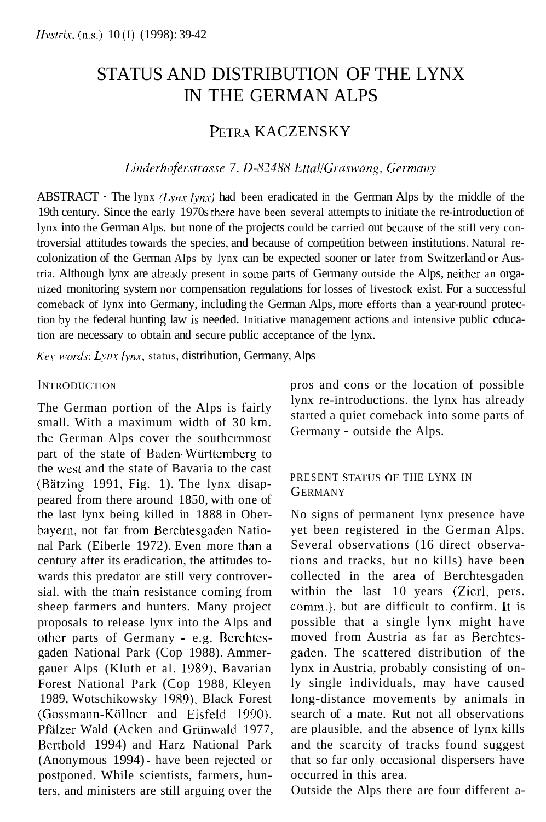# STATUS AND DISTRIBUTION OF THE LYNX IN THE GERMAN ALPS

# PETRA KACZENSKY

#### Linderhoferstrasse 7, D-82488 Ettal/Graswang, Germany

ABSTRACT  $\cdot$  The lynx *(Lynx lynx)* had been eradicated in the German Alps by the middle of the 19th century. Since the early 1970s thcre have been several attempts to initiate the re-introduction of lynx into the German Alps. but none of the projects could be carried out because of the still very controversial attitudes towards the species, and because of competition between institutions. Natural recolonization of the German Alps by lynx can be expected sooner or later from Switzerland or Austria. Although lynx are already present in some parts of Germany outside the Alps, neithcr an organized monitoring system nor compensation regulations for losses of livestock exist. For a successful comeback of lynx into Germany, including the German Alps, more efforts than a year-round protection by the federal hunting law is needed. Initiative management actions and intensive public cducation are necessary to obtain and secure public acceptance of the lynx.

*Krx-~wds: Ly1i.x lynx,* status, distribution, Germany, Alps

#### **INTRODUCTION**

The German portion of the Alps is fairly small. With a maximum width of 30 km. the German Alps cover the southcrnmost part of the state of Baden-Wiirttembcrg to the west and the state of Bavaria to the cast (Bätzing 1991, Fig. 1). The lynx disappeared from there around 1850, with one of the last lynx being killed in 1888 in Oberbayern, not far from Berchtesgaden National Park (Eiberle 1972). Even more than a century after its eradication, the attitudes towards this predator are still very controversial. with the main resistance coming from sheep farmers and hunters. Many project proposals to release lynx into the Alps and othcr parts of Germany - e.g. Bcrchtesgaden National Park (Cop 1988). Ammergauer Alps (Kluth et al. 1989), Bavarian Forest National Park (Cop 1988, Kleyen 1989, Wotschikowsky 1989), Black Forest (Gossmann-Köllner and Eisfeld 1990). Pfälzer Wald (Acken and Grünwald 1977, Berthold 1994) and Harz National Park (Anonymous 1994) - have been rejected or postponed. While scientists, farmers, hunters, and ministers are still arguing over the

pros and cons or the location of possible lynx re-introductions. the lynx has already started a quiet comeback into some parts of Germany - outside the Alps.

#### PRESENT STATUS OF THE LYNX IN **GERMANY**

No signs of permanent lynx presence have yet been registered in the German Alps. Several observations (16 direct observations and tracks, but no kills) have been collected in the area of Berchtesgaden within the last 10 years (Zierl, pers. comm.), but are difficult to confirm. It is possible that a single lynx might have moved from Austria as far as Berchtesgaden. The scattered distribution of the lynx in Austria, probably consisting of only single individuals, may have caused long-distance movements by animals in search of a mate. Rut not all observations are plausible, and the absence of lynx kills and the scarcity of tracks found suggest that so far only occasional dispersers have occurred in this area.

Outside the Alps there are four different a-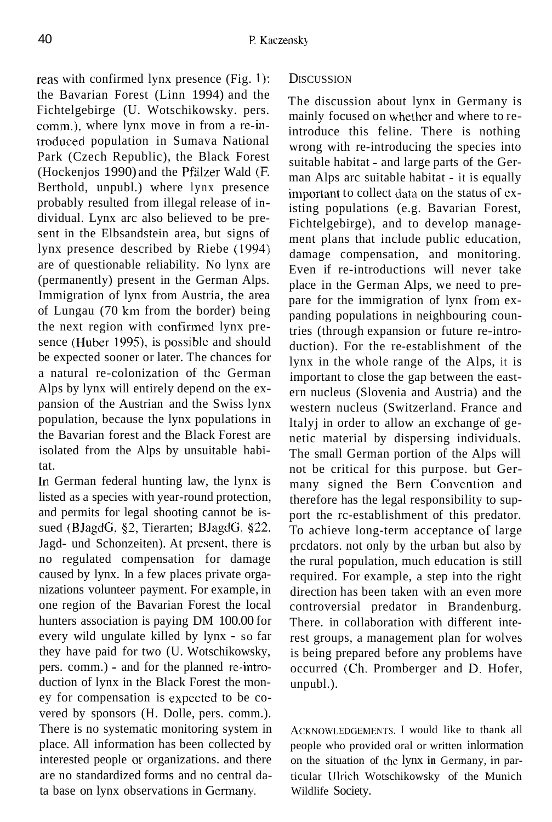reas with confirmed lynx presence (Fig. 1): the Bavarian Forest (Linn 1994) and the Fichtelgebirge (U. Wotschikowsky. pers. comm.), where lynx move in from a re-introduced population in Sumava National Park (Czech Republic), the Black Forest (Hockenjos 1990) and the Pfalzer Wald (E Berthold, unpubl.) where lynx presence probably resulted from illegal release of individual. Lynx arc also believed to be present in the Elbsandstein area, but signs of lynx presence described by Riebe (1994) are of questionable reliability. No lynx are (permanently) present in the German Alps. Immigration of lynx from Austria, the area of Lungau (70 km from the border) being the next region with confirmed lynx presence (Huber 1995), is possiblc and should be expected sooner or later. The chances for a natural re-colonization of the German Alps by lynx will entirely depend on the expansion of the Austrian and the Swiss lynx population, because the lynx populations in the Bavarian forest and the Black Forest are isolated from the Alps by unsuitable habitat.

In German federal hunting law, the lynx is listed as a species with year-round protection, and permits for legal shooting cannot be issued (BJagdC, *52,* Tierarten; BJagdG, *\$22.*  Jagd- und Schonzeiten). At prcsent, there is no regulated compensation for damage caused by lynx. In a few places private organizations volunteer payment. For example, in one region of the Bavarian Forest the local hunters association is paying DM 100.00 for every wild ungulate killed by lynx - so far they have paid for two (U. Wotschikowsky, pers. comm.) - and for the planned re-introduction of lynx in the Black Forest the money for compensation is expccted to be covered by sponsors (H. Dolle, pers. comm.). There is no systematic monitoring system in place. All information has been collected by interested people **or** organizations. and there are no standardized forms and no central data base on lynx observations in Germany.

#### **DISCUSSION**

The discussion about lynx in Germany is mainly focused on whethcr and where to reintroduce this feline. There is nothing wrong with re-introducing the species into suitable habitat - and large parts of the German Alps arc suitable habitat - it is equally important to collect data on the status of existing populations (e.g. Bavarian Forest, Fichtelgebirge), and to develop management plans that include public education, damage compensation, and monitoring. Even if re-introductions will never take place in the German Alps, we need to prepare for the immigration of lynx from expanding populations in neighbouring countries (through expansion or future re-introduction). For the re-establishment of the lynx in the whole range of the Alps, it is important to close the gap between the eastern nucleus (Slovenia and Austria) and the western nucleus (Switzerland. France and ltalyj in order to allow an exchange of genetic material by dispersing individuals. The small German portion of the Alps will not be critical for this purpose. but Germany signed the Bern Convcntion and therefore has the legal responsibility to support the rc-establishment of this predator. To achieve long-term acceptance of large prcdators. not only by the urban but also by the rural population, much education is still required. For example, a step into the right direction has been taken with an even more controversial predator in Brandenburg. There. in collaboration with different interest groups, a management plan for wolves is being prepared before any problems have occurred (Ch. Promberger and D. Hofer, unpubl.).

ACKNOWLEDGEMENTS. I would like to thank all people who provided oral or written inlormation on the situation of the lynx **in** Germany, **in** particular lllrich Wotschikowsky of the Munich Wildlife Society.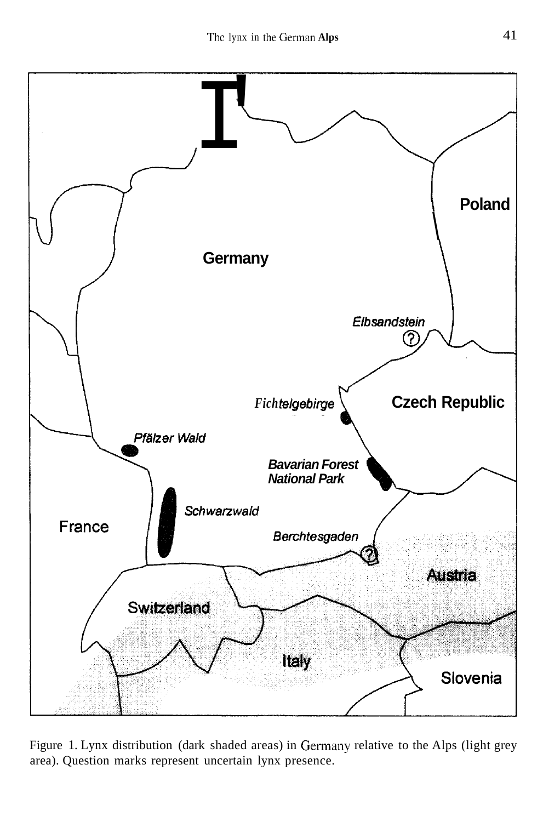

Figure 1. Lynx distribution (dark shaded areas) in Germany relative to the Alps (light grey area). Question marks represent uncertain lynx presence.